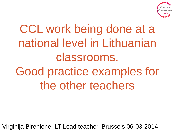

# CCL work being done at a national level in Lithuanian classrooms. Good practice examples for the other teachers

Virginija Bireniene, LT Lead teacher, Brussels 06-03-2014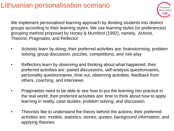

We implement personalised learning approach by dividing students into distinct groups according to their learning styles. We use learning styles (or preferences) grouping method proposed by Honey & Mumford (1992), namely, Activist, Theorist, Pragmatist, and Reflector:

- Activists learn by doing; their preferred activities are: brainstorming, problem solving, group discussion, puzzles, competitions, and role-play
- Reflectors learn by observing and thinking about what happened; their preferred activities are: paired discussions, self-analysis questionnaires, personality questionnaires, time out, observing activities, feedback from others, coaching, and interviews
- Pragmatists need to be able to see how to put the learning into practice in the real world; their preferred activities are: time to think about how to apply learning in reality, case studies, problem solving, and discussion
- Theorists like to understand the theory behind the actions; their preferred activities are: models, statistics, stories, quotes, background information, and applying theories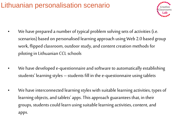

- We have prepared a number of typical problem solving sets of activities (i.e. scenarios) based on personalised learning approach using Web 2.0 based group work, flipped classroom, outdoor study, and content creation methods for piloting in Lithuanian CCL schools
- We have developed e-questionnaire and software to automatically establishing students' learning styles – students fill in the e-questionnaire using tablets
- We have interconnected learning styles with suitable learning activities, types of learning objects, and tablets' apps. This approach guarantees that, in their groups, students could learn using suitable learning activities, content, and apps.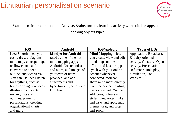

Example of interconnection of Activists Brainstorming learning activity with suitable apps and learning objects types

| <b>IOS</b>                    | <b>Android</b>           | <b>IOS/Android</b>           | <b>Types of LOs</b>      |
|-------------------------------|--------------------------|------------------------------|--------------------------|
| <b>Idea Sketch</b> – lets you | Mindjet for Android –    | <b>Mind Mapping</b> $-$ lets | Application, Broadcast,  |
| easily draw a diagram $-$     | rated as one of the best | you create, view and edit    | Enquiry-oriented         |
| mind map, concept map,        | mind mapping apps for    | mind maps online or          | activity, Glossary, Open |
| or flow chart - and           | Android. Create nodes    | offline and lets the app     | activity, Presentation,  |
| convert it to a text          | and notes, add images of | synch with your online       | Reference, Role play,    |
| outline, and vice versa.      | your own or icons        | account whenever             | Simulation, Tool,        |
| You can use Idea Sketch       | provided, and add        | connected. You can           | Website                  |
| for anything, such as         | attachments and          | share mind maps directly     |                          |
| brainstorming new ideas,      | hyperlinks. Sync to your | from the device, inviting    |                          |
| illustrating concepts,        | <b>Dropbox</b>           | users via email. You can     |                          |
| making lists and              |                          | add icons, colours and       |                          |
| outlines, planning            |                          | styles, view notes, links    |                          |
| presentations, creating       |                          | and tasks and apply map      |                          |
| organizational charts,        |                          | themes, drag and drop        |                          |
| and more!                     |                          | and zoom                     |                          |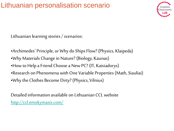

Lithuanian learning stories / scenarios:

•Archimedes' Principle, or Why do Ships Flow? (Physics, Klaipeda)

- •Why Materials Change in Nature? (Biology, Kaunas)
- •How to Help a Friend Choose a New PC? (IT, Kaisiadorys)
- •Research on Phenomena with One Variable Properties (Math, Siauliai)
- •Why the Clothes Become Dirty? (Physics, Vilnius)

Detailed information available on Lithuanian CCL website <http://ccl.emokymasis.com/>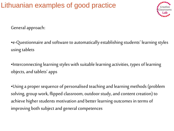### Lithuanian examples of good practice



General approach:

•e-Questionnaire and software to automatically establishing students' learning styles using tablets

•Interconnecting learning styles with suitable learning activities, types of learning objects, and tablets' apps

•Using a proper sequence of personalised teaching and learning methods (problem solving, group work, flipped classroom, outdoor study, and content creation) to achieve higher students motivation and better learning outcomes in terms of improving both subject and general competences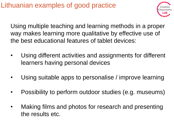#### Lithuanian examples of good practice



Using multiple teaching and learning methods in a proper way makes learning more qualitative by effective use of the best educational features of tablet devices:

- Using different activities and assignments for different learners having personal devices
- Using suitable apps to personalise / improve learning
- Possibility to perform outdoor studies (e.g. museums)
- Making films and photos for research and presenting the results etc.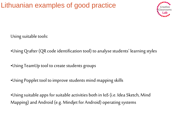### Lithuanian examples of good practice



Using suitable tools:

- •Using Qrafter (QR code identification tool) to analyse students' learning styles
- •Using TeamUp tool to create students groups
- •Using Popplet tool to improve students mind mapping skills

•Using suitable apps for suitable activities both in IoS (i.e. Idea Sketch, Mind Mapping) and Android (e.g. Mindjet for Android) operating systems